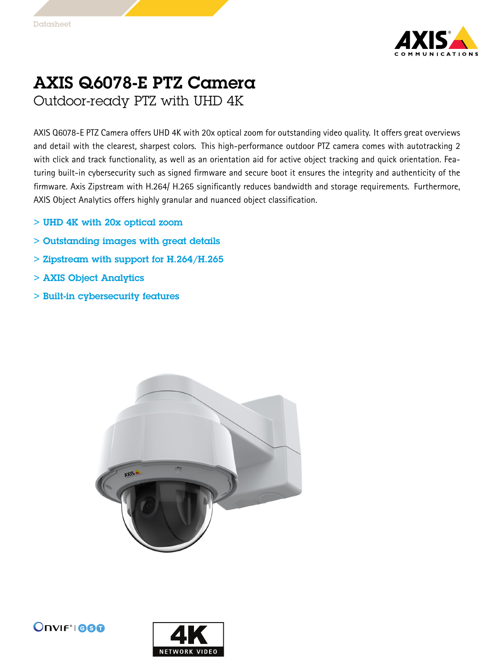

## AXIS Q6078-E PTZ Camera Outdoor-ready PTZ with UHD 4K

AXIS Q6078-E PTZ Camera offers UHD 4K with 20x optical zoom for outstanding video quality. It offers great overviews and detail with the clearest, sharpest colors. This high-performance outdoor PTZ camera comes with autotracking 2 with click and track functionality, as well as an orientation aid for active object tracking and quick orientation. Featuring built-in cybersecurity such as signed firmware and secure boot it ensures the integrity and authenticity of the firmware. Axis Zipstream with H.264/ H.265 significantly reduces bandwidth and storage requirements. Furthermore, AXIS Object Analytics offers highly granular and nuanced object classification.

- > UHD 4K with 20x optical zoom
- > Outstanding images with great details
- > Zipstream with support for H.264/H.265
- > AXIS Object Analytics
- > Built-in cybersecurity features





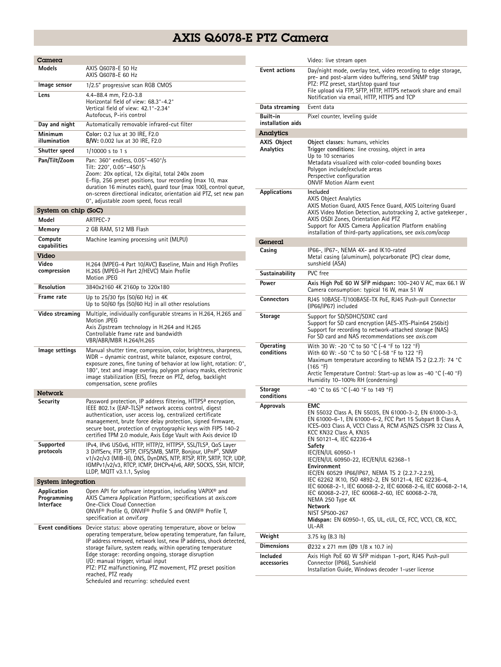## AXIS Q6078-E PTZ Camera

| Camera                                  |                                                                                                                                                                                                                                                                                                                                                                                                                                                                                                                  |  |
|-----------------------------------------|------------------------------------------------------------------------------------------------------------------------------------------------------------------------------------------------------------------------------------------------------------------------------------------------------------------------------------------------------------------------------------------------------------------------------------------------------------------------------------------------------------------|--|
| Models                                  | AXIS Q6078-E 50 Hz<br>AXIS Q6078-E 60 Hz                                                                                                                                                                                                                                                                                                                                                                                                                                                                         |  |
| lmage sensor                            | 1/2.5" progressive scan RGB CMOS                                                                                                                                                                                                                                                                                                                                                                                                                                                                                 |  |
| Lens                                    | 4.4-88.4 mm, F2.0-3.8<br>Horizontal field of view: 68.3°-4.2°<br>Vertical field of view: 42.1°-2.34°<br>Autofocus, P-iris control                                                                                                                                                                                                                                                                                                                                                                                |  |
| Day and night                           | Automatically removable infrared-cut filter                                                                                                                                                                                                                                                                                                                                                                                                                                                                      |  |
| Minimum<br>illumination                 | Color: 0.2 lux at 30 IRE, F2.0<br>B/W: 0.002 lux at 30 IRE, F2.0                                                                                                                                                                                                                                                                                                                                                                                                                                                 |  |
| <b>Shutter speed</b>                    | 1/10000 s to 1 s                                                                                                                                                                                                                                                                                                                                                                                                                                                                                                 |  |
| Pan/Tilt/Zoom                           | Pan: 360° endless, 0.05°-450°/s<br>Tilt: 220°, 0.05°-450°/s<br>Zoom: 20x optical, 12x digital, total 240x zoom<br>E-flip, 256 preset positions, tour recording (max 10, max<br>duration 16 minutes each), guard tour (max 100), control queue,<br>on-screen directional indicator, orientation aid PTZ, set new pan<br>0°, adjustable zoom speed, focus recall                                                                                                                                                   |  |
| System on chip (SoC)                    |                                                                                                                                                                                                                                                                                                                                                                                                                                                                                                                  |  |
| Model                                   | ARTPEC-7                                                                                                                                                                                                                                                                                                                                                                                                                                                                                                         |  |
| Memory                                  | 2 GB RAM, 512 MB Flash                                                                                                                                                                                                                                                                                                                                                                                                                                                                                           |  |
| Compute<br>capabilities                 | Machine learning processing unit (MLPU)                                                                                                                                                                                                                                                                                                                                                                                                                                                                          |  |
| Video                                   |                                                                                                                                                                                                                                                                                                                                                                                                                                                                                                                  |  |
| Video<br>compression                    | H.264 (MPEG-4 Part 10/AVC) Baseline, Main and High Profiles<br>H.265 (MPEG-H Part 2/HEVC) Main Profile<br>Motion JPEG                                                                                                                                                                                                                                                                                                                                                                                            |  |
| <b>Resolution</b>                       | 3840x2160 4K 2160p to 320x180                                                                                                                                                                                                                                                                                                                                                                                                                                                                                    |  |
| Frame rate                              | Up to 25/30 fps (50/60 Hz) in 4K<br>Up to 50/60 fps (50/60 Hz) in all other resolutions                                                                                                                                                                                                                                                                                                                                                                                                                          |  |
| Video streaming                         | Multiple, individually configurable streams in H.264, H.265 and<br>Motion JPEG<br>Axis Zipstream technology in H.264 and H.265<br>Controllable frame rate and bandwidth<br>VBR/ABR/MBR H.264/H.265                                                                                                                                                                                                                                                                                                               |  |
| lmage settings                          | Manual shutter time, compression, color, brightness, sharpness,<br>WDR - dynamic contrast, white balance, exposure control,<br>exposure zones, fine tuning of behavior at low light, rotation: 0°,<br>180°, text and image overlay, polygon privacy masks, electronic<br>image stabilization (EIS), freeze on PTZ, defog, backlight<br>compensation, scene profiles                                                                                                                                              |  |
| <b>Network</b>                          |                                                                                                                                                                                                                                                                                                                                                                                                                                                                                                                  |  |
| Security                                | Password protection, IP address filtering, HTTPS <sup>a</sup> encryption,<br>IEEE 802.1x (EAP-TLS) <sup>a</sup> network access control, digest<br>authentication, user access log, centralized certificate<br>management, brute force delay protection, signed firmware,<br>secure boot, protection of cryptographic keys with FIPS 140-2<br>certified TPM 2.0 module, Axis Edge Vault with Axis device ID                                                                                                       |  |
| Supported<br>protocols                  | IPv4, IPv6 USGv6, HTTP, HTTP/2, HTTPS <sup>a</sup> , SSL/TLS <sup>a</sup> , QoS Layer<br>3 DiffServ, FTP, SFTP, CIFS/SMB, SMTP, Bonjour, UPnP®, SNMP<br>v1/v2c/v3 (MIB-II), DNS, DynDNS, NTP, RTSP, RTP, SRTP, TCP, UDP,<br>IGMPv1/v2/v3, RTCP, ICMP, DHCPv4/v6, ARP, SOCKS, SSH, NTCIP,<br>LLDP, MQTT v3.1.1, Syslog                                                                                                                                                                                            |  |
| <b>System integration</b>               |                                                                                                                                                                                                                                                                                                                                                                                                                                                                                                                  |  |
| Application<br>Programming<br>Interface | Open API for software integration, including VAPIX <sup>®</sup> and<br>AXIS Camera Application Platform; specifications at axis.com<br>One-Click Cloud Connection<br>ONVIF <sup>®</sup> Profile G, ONVIF® Profile S and ONVIF® Profile T,<br>specification at onvif.org                                                                                                                                                                                                                                          |  |
|                                         | Event conditions Device status: above operating temperature, above or below<br>operating temperature, below operating temperature, fan failure,<br>IP address removed, network lost, new IP address, shock detected,<br>storage failure, system ready, within operating temperature<br>Edge storage: recording ongoing, storage disruption<br>I/O: manual trigger, virtual input<br>PTZ: PTZ malfunctioning, PTZ movement, PTZ preset position<br>reached, PTZ ready<br>Scheduled and recurring: scheduled event |  |

| <b>Event actions</b><br>Day/night mode, overlay text, video recording to edge storage,<br>pre- and post-alarm video buffering, send SNMP trap<br>PTZ: PTZ preset, start/stop quard tour<br>File upload via FTP, SFTP, HTTP, HTTPS network share and email<br>Notification via email, HTTP, HTTPS and TCP<br>Event data<br>Data streaming<br>Built-in<br>Pixel counter, leveling guide<br>installation aids<br>Analytics<br>Object classes: humans, vehicles<br>AXIS Object<br>Analytics<br>Trigger conditions: line crossing, object in area<br>Up to 10 scenarios<br>Metadata visualized with color-coded bounding boxes<br>Polygon include/exclude areas<br>Perspective configuration<br><b>ONVIF Motion Alarm event</b><br><b>Applications</b><br>Included<br><b>AXIS Object Analytics</b><br>AXIS Motion Guard, AXIS Fence Guard, AXIS Loitering Guard<br>AXIS Video Motion Detection, autotracking 2, active gatekeeper,<br>AXIS OSDI Zones, Orientation Aid PTZ<br>Support for AXIS Camera Application Platform enabling<br>installation of third-party applications, see <i>axis.com/acap</i><br>General<br>IP66-, IP67-, NEMA 4X- and IK10-rated<br>Casing<br>Metal casing (aluminum), polycarbonate (PC) clear dome,<br>sunshield (ASA)<br>PVC free<br>Sustainability<br>Axis High PoE 60 W SFP midspan: 100-240 V AC, max 66.1 W<br>Power<br>Camera consumption: typical 16 W, max 51 W<br><b>Connectors</b><br>RJ45 10BASE-T/100BASE-TX PoE, RJ45 Push-pull Connector<br>(IP66/IP67) included<br>Storage<br>Support for SD/SDHC/SDXC card<br>Support for SD card encryption (AES-XTS-Plain64 256bit)<br>Support for recording to network-attached storage (NAS)<br>For SD card and NAS recommendations see axis.com<br>Operating<br>With 30 W: -20 °C to 50 °C (-4 °F to 122 °F)<br>conditions<br>With 60 W: -50 °C to 50 °C (-58 °F to 122 °F)<br>Maximum temperature according to NEMA TS 2 (2.2.7): 74 °C<br>(165 °F)<br>Arctic Temperature Control: Start-up as low as -40 °C (-40 °F)<br>Humidity 10-100% RH (condensing)<br>-40 °C to 65 °C (-40 °F to 149 °F)<br>Storage<br>conditions<br><b>EMC</b><br>Approvals<br>EN 55032 Class A, EN 55035, EN 61000-3-2, EN 61000-3-3,<br>EN 61000-6-1, EN 61000-6-2, FCC Part 15 Subpart B Class A,<br>ICES-003 Class A, VCCI Class A, RCM AS/NZS CISPR 32 Class A,<br>KCC KN32 Class A, KN35<br>EN 50121-4, IEC 62236-4<br>Safety<br>IEC/EN/UL 60950-1<br>IEC/EN/UL 60950-22, IEC/EN/UL 62368-1<br>Environment<br>IEC/EN 60529 IP66/IP67, NEMA TS 2 (2.2.7-2.2.9),<br>IEC 62262 IK10, ISO 4892-2, EN 50121-4, IEC 62236-4,<br>IEC 60068-2-1, IEC 60068-2-2, IEC 60068-2-6, IEC 60068-2-14,<br>IEC 60068-2-27, IEC 60068-2-60, IEC 60068-2-78,<br>NEMA 250 Type 4X<br>Network<br>NIST SP500-267<br>Midspan: EN 60950-1, GS, UL, cUL, CE, FCC, VCCI, CB, KCC,<br>UL-AR<br>Weight<br>3.75 kg (8.3 lb)<br><b>Dimensions</b><br>Ø232 x 271 mm (Ø9 1/8 x 10.7 in)<br>Axis High PoE 60 W SFP midspan 1-port, RJ45 Push-pull<br>Included<br>Connector (IP66), Sunshield<br>accessories<br>Installation Guide, Windows decoder 1-user license | Video: live stream open |
|------------------------------------------------------------------------------------------------------------------------------------------------------------------------------------------------------------------------------------------------------------------------------------------------------------------------------------------------------------------------------------------------------------------------------------------------------------------------------------------------------------------------------------------------------------------------------------------------------------------------------------------------------------------------------------------------------------------------------------------------------------------------------------------------------------------------------------------------------------------------------------------------------------------------------------------------------------------------------------------------------------------------------------------------------------------------------------------------------------------------------------------------------------------------------------------------------------------------------------------------------------------------------------------------------------------------------------------------------------------------------------------------------------------------------------------------------------------------------------------------------------------------------------------------------------------------------------------------------------------------------------------------------------------------------------------------------------------------------------------------------------------------------------------------------------------------------------------------------------------------------------------------------------------------------------------------------------------------------------------------------------------------------------------------------------------------------------------------------------------------------------------------------------------------------------------------------------------------------------------------------------------------------------------------------------------------------------------------------------------------------------------------------------------------------------------------------------------------------------------------------------------------------------------------------------------------------------------------------------------------------------------------------------------------------------------------------------------------------------------------------------------------------------------------------------------------------------------------------------------------------------------------------------------------------------------------------------------------------------------------------------------------------------------------------------------------------------------------|-------------------------|
|                                                                                                                                                                                                                                                                                                                                                                                                                                                                                                                                                                                                                                                                                                                                                                                                                                                                                                                                                                                                                                                                                                                                                                                                                                                                                                                                                                                                                                                                                                                                                                                                                                                                                                                                                                                                                                                                                                                                                                                                                                                                                                                                                                                                                                                                                                                                                                                                                                                                                                                                                                                                                                                                                                                                                                                                                                                                                                                                                                                                                                                                                                |                         |
|                                                                                                                                                                                                                                                                                                                                                                                                                                                                                                                                                                                                                                                                                                                                                                                                                                                                                                                                                                                                                                                                                                                                                                                                                                                                                                                                                                                                                                                                                                                                                                                                                                                                                                                                                                                                                                                                                                                                                                                                                                                                                                                                                                                                                                                                                                                                                                                                                                                                                                                                                                                                                                                                                                                                                                                                                                                                                                                                                                                                                                                                                                |                         |
|                                                                                                                                                                                                                                                                                                                                                                                                                                                                                                                                                                                                                                                                                                                                                                                                                                                                                                                                                                                                                                                                                                                                                                                                                                                                                                                                                                                                                                                                                                                                                                                                                                                                                                                                                                                                                                                                                                                                                                                                                                                                                                                                                                                                                                                                                                                                                                                                                                                                                                                                                                                                                                                                                                                                                                                                                                                                                                                                                                                                                                                                                                |                         |
|                                                                                                                                                                                                                                                                                                                                                                                                                                                                                                                                                                                                                                                                                                                                                                                                                                                                                                                                                                                                                                                                                                                                                                                                                                                                                                                                                                                                                                                                                                                                                                                                                                                                                                                                                                                                                                                                                                                                                                                                                                                                                                                                                                                                                                                                                                                                                                                                                                                                                                                                                                                                                                                                                                                                                                                                                                                                                                                                                                                                                                                                                                |                         |
|                                                                                                                                                                                                                                                                                                                                                                                                                                                                                                                                                                                                                                                                                                                                                                                                                                                                                                                                                                                                                                                                                                                                                                                                                                                                                                                                                                                                                                                                                                                                                                                                                                                                                                                                                                                                                                                                                                                                                                                                                                                                                                                                                                                                                                                                                                                                                                                                                                                                                                                                                                                                                                                                                                                                                                                                                                                                                                                                                                                                                                                                                                |                         |
|                                                                                                                                                                                                                                                                                                                                                                                                                                                                                                                                                                                                                                                                                                                                                                                                                                                                                                                                                                                                                                                                                                                                                                                                                                                                                                                                                                                                                                                                                                                                                                                                                                                                                                                                                                                                                                                                                                                                                                                                                                                                                                                                                                                                                                                                                                                                                                                                                                                                                                                                                                                                                                                                                                                                                                                                                                                                                                                                                                                                                                                                                                |                         |
|                                                                                                                                                                                                                                                                                                                                                                                                                                                                                                                                                                                                                                                                                                                                                                                                                                                                                                                                                                                                                                                                                                                                                                                                                                                                                                                                                                                                                                                                                                                                                                                                                                                                                                                                                                                                                                                                                                                                                                                                                                                                                                                                                                                                                                                                                                                                                                                                                                                                                                                                                                                                                                                                                                                                                                                                                                                                                                                                                                                                                                                                                                |                         |
|                                                                                                                                                                                                                                                                                                                                                                                                                                                                                                                                                                                                                                                                                                                                                                                                                                                                                                                                                                                                                                                                                                                                                                                                                                                                                                                                                                                                                                                                                                                                                                                                                                                                                                                                                                                                                                                                                                                                                                                                                                                                                                                                                                                                                                                                                                                                                                                                                                                                                                                                                                                                                                                                                                                                                                                                                                                                                                                                                                                                                                                                                                |                         |
|                                                                                                                                                                                                                                                                                                                                                                                                                                                                                                                                                                                                                                                                                                                                                                                                                                                                                                                                                                                                                                                                                                                                                                                                                                                                                                                                                                                                                                                                                                                                                                                                                                                                                                                                                                                                                                                                                                                                                                                                                                                                                                                                                                                                                                                                                                                                                                                                                                                                                                                                                                                                                                                                                                                                                                                                                                                                                                                                                                                                                                                                                                |                         |
|                                                                                                                                                                                                                                                                                                                                                                                                                                                                                                                                                                                                                                                                                                                                                                                                                                                                                                                                                                                                                                                                                                                                                                                                                                                                                                                                                                                                                                                                                                                                                                                                                                                                                                                                                                                                                                                                                                                                                                                                                                                                                                                                                                                                                                                                                                                                                                                                                                                                                                                                                                                                                                                                                                                                                                                                                                                                                                                                                                                                                                                                                                |                         |
|                                                                                                                                                                                                                                                                                                                                                                                                                                                                                                                                                                                                                                                                                                                                                                                                                                                                                                                                                                                                                                                                                                                                                                                                                                                                                                                                                                                                                                                                                                                                                                                                                                                                                                                                                                                                                                                                                                                                                                                                                                                                                                                                                                                                                                                                                                                                                                                                                                                                                                                                                                                                                                                                                                                                                                                                                                                                                                                                                                                                                                                                                                |                         |
|                                                                                                                                                                                                                                                                                                                                                                                                                                                                                                                                                                                                                                                                                                                                                                                                                                                                                                                                                                                                                                                                                                                                                                                                                                                                                                                                                                                                                                                                                                                                                                                                                                                                                                                                                                                                                                                                                                                                                                                                                                                                                                                                                                                                                                                                                                                                                                                                                                                                                                                                                                                                                                                                                                                                                                                                                                                                                                                                                                                                                                                                                                |                         |
|                                                                                                                                                                                                                                                                                                                                                                                                                                                                                                                                                                                                                                                                                                                                                                                                                                                                                                                                                                                                                                                                                                                                                                                                                                                                                                                                                                                                                                                                                                                                                                                                                                                                                                                                                                                                                                                                                                                                                                                                                                                                                                                                                                                                                                                                                                                                                                                                                                                                                                                                                                                                                                                                                                                                                                                                                                                                                                                                                                                                                                                                                                |                         |
|                                                                                                                                                                                                                                                                                                                                                                                                                                                                                                                                                                                                                                                                                                                                                                                                                                                                                                                                                                                                                                                                                                                                                                                                                                                                                                                                                                                                                                                                                                                                                                                                                                                                                                                                                                                                                                                                                                                                                                                                                                                                                                                                                                                                                                                                                                                                                                                                                                                                                                                                                                                                                                                                                                                                                                                                                                                                                                                                                                                                                                                                                                |                         |
|                                                                                                                                                                                                                                                                                                                                                                                                                                                                                                                                                                                                                                                                                                                                                                                                                                                                                                                                                                                                                                                                                                                                                                                                                                                                                                                                                                                                                                                                                                                                                                                                                                                                                                                                                                                                                                                                                                                                                                                                                                                                                                                                                                                                                                                                                                                                                                                                                                                                                                                                                                                                                                                                                                                                                                                                                                                                                                                                                                                                                                                                                                |                         |
|                                                                                                                                                                                                                                                                                                                                                                                                                                                                                                                                                                                                                                                                                                                                                                                                                                                                                                                                                                                                                                                                                                                                                                                                                                                                                                                                                                                                                                                                                                                                                                                                                                                                                                                                                                                                                                                                                                                                                                                                                                                                                                                                                                                                                                                                                                                                                                                                                                                                                                                                                                                                                                                                                                                                                                                                                                                                                                                                                                                                                                                                                                |                         |
|                                                                                                                                                                                                                                                                                                                                                                                                                                                                                                                                                                                                                                                                                                                                                                                                                                                                                                                                                                                                                                                                                                                                                                                                                                                                                                                                                                                                                                                                                                                                                                                                                                                                                                                                                                                                                                                                                                                                                                                                                                                                                                                                                                                                                                                                                                                                                                                                                                                                                                                                                                                                                                                                                                                                                                                                                                                                                                                                                                                                                                                                                                |                         |
|                                                                                                                                                                                                                                                                                                                                                                                                                                                                                                                                                                                                                                                                                                                                                                                                                                                                                                                                                                                                                                                                                                                                                                                                                                                                                                                                                                                                                                                                                                                                                                                                                                                                                                                                                                                                                                                                                                                                                                                                                                                                                                                                                                                                                                                                                                                                                                                                                                                                                                                                                                                                                                                                                                                                                                                                                                                                                                                                                                                                                                                                                                |                         |
|                                                                                                                                                                                                                                                                                                                                                                                                                                                                                                                                                                                                                                                                                                                                                                                                                                                                                                                                                                                                                                                                                                                                                                                                                                                                                                                                                                                                                                                                                                                                                                                                                                                                                                                                                                                                                                                                                                                                                                                                                                                                                                                                                                                                                                                                                                                                                                                                                                                                                                                                                                                                                                                                                                                                                                                                                                                                                                                                                                                                                                                                                                |                         |